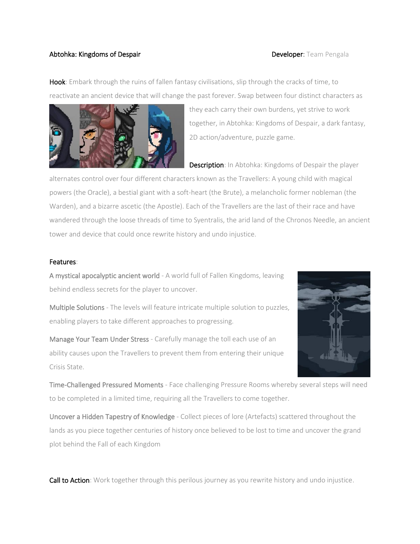## Abtohka: Kingdoms of Despair **Developer: Team Pengala**

Hook: Embark through the ruins of fallen fantasy civilisations, slip through the cracks of time, to reactivate an ancient device that will change the past forever. Swap between four distinct characters as



they each carry their own burdens, yet strive to work together, in Abtohka: Kingdoms of Despair, a dark fantasy, 2D action/adventure, puzzle game.

**Description:** In Abtohka: Kingdoms of Despair the player

alternates control over four different characters known as the Travellers: A young child with magical powers (the Oracle), a bestial giant with a soft-heart (the Brute), a melancholic former nobleman (the Warden), and a bizarre ascetic (the Apostle). Each of the Travellers are the last of their race and have wandered through the loose threads of time to Syentralis, the arid land of the Chronos Needle, an ancient tower and device that could once rewrite history and undo injustice.

## Features:

A mystical apocalyptic ancient world - A world full of Fallen Kingdoms, leaving behind endless secrets for the player to uncover.

Multiple Solutions - The levels will feature intricate multiple solution to puzzles, enabling players to take different approaches to progressing.

Manage Your Team Under Stress - Carefully manage the toll each use of an ability causes upon the Travellers to prevent them from entering their unique Crisis State.



Time-Challenged Pressured Moments - Face challenging Pressure Rooms whereby several steps will need to be completed in a limited time, requiring all the Travellers to come together.

Uncover a Hidden Tapestry of Knowledge - Collect pieces of lore (Artefacts) scattered throughout the lands as you piece together centuries of history once believed to be lost to time and uncover the grand plot behind the Fall of each Kingdom

**Call to Action**: Work together through this perilous journey as you rewrite history and undo injustice.